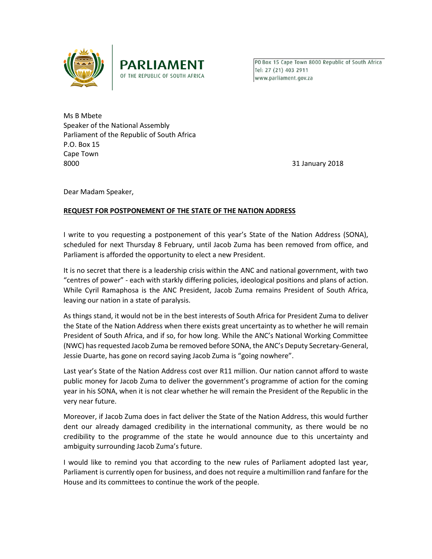



PO Box 15 Cape Town 8000 Republic of South Africa Tel: 27 (21) 403 2911 www.parliament.gov.za

Ms B Mbete Speaker of the National Assembly Parliament of the Republic of South Africa P.O. Box 15 Cape Town 8000 31 January 2018

Dear Madam Speaker,

## **REQUEST FOR POSTPONEMENT OF THE STATE OF THE NATION ADDRESS**

I write to you requesting a postponement of this year's State of the Nation Address (SONA), scheduled for next Thursday 8 February, until Jacob Zuma has been removed from office, and Parliament is afforded the opportunity to elect a new President.

It is no secret that there is a leadership crisis within the ANC and national government, with two "centres of power" - each with starkly differing policies, ideological positions and plans of action. While Cyril Ramaphosa is the ANC President, Jacob Zuma remains President of South Africa, leaving our nation in a state of paralysis.

As things stand, it would not be in the best interests of South Africa for President Zuma to deliver the State of the Nation Address when there exists great uncertainty as to whether he will remain President of South Africa, and if so, for how long. While the ANC's National Working Committee (NWC) has requested Jacob Zuma be removed before SONA, the ANC's Deputy Secretary-General, Jessie Duarte, has gone on record saying Jacob Zuma is "going nowhere".

Last year's State of the Nation Address cost over R11 million. Our nation cannot afford to waste public money for Jacob Zuma to deliver the government's programme of action for the coming year in his SONA, when it is not clear whether he will remain the President of the Republic in the very near future.

Moreover, if Jacob Zuma does in fact deliver the State of the Nation Address, this would further dent our already damaged credibility in the international community, as there would be no credibility to the programme of the state he would announce due to this uncertainty and ambiguity surrounding Jacob Zuma's future.

I would like to remind you that according to the new rules of Parliament adopted last year, Parliament is currently open for business, and does not require a multimillion rand fanfare for the House and its committees to continue the work of the people.